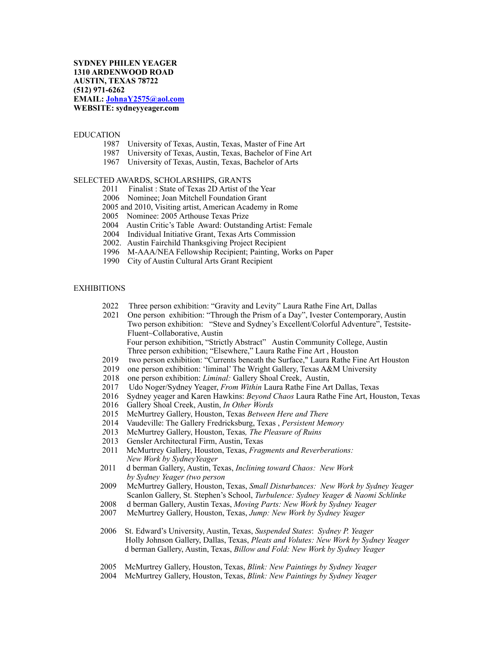### EDUCATION

- 1987 University of Texas, Austin, Texas, Master of Fine Art
- 1987 University of Texas, Austin, Texas, Bachelor of Fine Art
- 1967 University of Texas, Austin, Texas, Bachelor of Arts

# SELECTED AWARDS, SCHOLARSHIPS, GRANTS

- 2011 Finalist : State of Texas 2D Artist of the Year
- 2006 Nominee; Joan Mitchell Foundation Grant
- 2005 and 2010, Visiting artist, American Academy in Rome
- 2005 Nominee: 2005 Arthouse Texas Prize
- 2004 Austin Critic's Table Award: Outstanding Artist: Female
- 2004 Individual Initiative Grant, Texas Arts Commission
- 2002. Austin Fairchild Thanksgiving Project Recipient
- 1996 M-AAA/NEA Fellowship Recipient; Painting, Works on Paper
- 1990 City of Austin Cultural Arts Grant Recipient

## **EXHIBITIONS**

- 2022 Three person exhibition: "Gravity and Levity" Laura Rathe Fine Art, Dallas
- 2021 One person exhibition: "Through the Prism of a Day", Ivester Contemporary, Austin Two person exhibition: "Steve and Sydney's Excellent/Colorful Adventure", Testsite- Fluent~Collaborative, Austin Four person exhibition, "Strictly Abstract" Austin Community College, Austin Three person exhibition; "Elsewhere," Laura Rathe Fine Art , Houston
	- 2019 two person exhibition: "Currents beneath the Surface," Laura Rathe Fine Art Houston
	- 2019 one person exhibition: 'liminal' The Wright Gallery, Texas A&M University
	- 2018 one person exhibition: *Liminal:* Gallery Shoal Creek, Austin, 2017 Udo Noger/Sydney Yeager. *From Within* Laura Rathe Fine Ar
	- 2017 Udo Noger/Sydney Yeager, *From Within* Laura Rathe Fine Art Dallas, Texas
	- 2016 Sydney yeager and Karen Hawkins: *Beyond Chaos* Laura Rathe Fine Art, Houston, Texas
	- 2016 Gallery Shoal Creek, Austin, *In Other Words*
	- 2015 McMurtrey Gallery, Houston, Texas *Between Here and There*
	- 2014 Vaudeville: The Gallery Fredricksburg, Texas , *Persistent Memory*
	- *2*013 McMurtrey Gallery, Houston, Texas*, The Pleasure of Ruins*
	- 2013 Gensler Architectural Firm, Austin, Texas
	- 2011 McMurtrey Gallery, Houston, Texas, *Fragments and Reverberations: New Work by SydneyYeager*
	- 2011 d berman Gallery, Austin, Texas, *Inclining toward Chaos: New Work by Sydney Yeager (two person*
	- 2009 McMurtrey Gallery, Houston, Texas, *Small Disturbances: New Work by Sydney Yeager* Scanlon Gallery, St. Stephen's School, *Turbulence: Sydney Yeager & Naomi Schlinke*
	- 2008 d berman Gallery, Austin Texas, *Moving Parts: New Work by Sydney Yeager*
	- 2007 McMurtrey Gallery, Houston, Texas, *Jump: New Work by Sydney Yeager*
	- 2006 St. Edward's University, Austin, Texas, *Suspended States*: *Sydney P. Yeager* Holly Johnson Gallery, Dallas, Texas, *Pleats and Volutes: New Work by Sydney Yeager* d berman Gallery, Austin, Texas, *Billow and Fold: New Work by Sydney Yeager*
	- 2005 McMurtrey Gallery, Houston, Texas, *Blink: New Paintings by Sydney Yeager*
	- 2004 McMurtrey Gallery, Houston, Texas, *Blink: New Paintings by Sydney Yeager*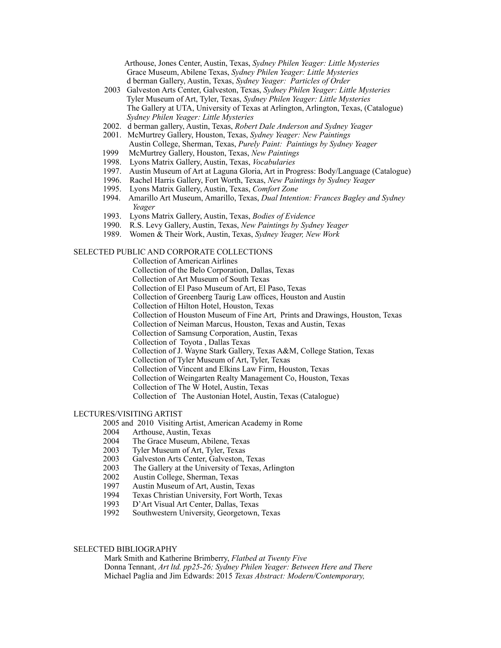Arthouse, Jones Center, Austin, Texas, *Sydney Philen Yeager: Little Mysteries* Grace Museum, Abilene Texas, *Sydney Philen Yeager: Little Mysteries* d berman Gallery, Austin, Texas, *Sydney Yeager: Particles of Order* 

- 2003 Galveston Arts Center, Galveston, Texas, *Sydney Philen Yeager: Little Mysteries*  Tyler Museum of Art, Tyler, Texas, *Sydney Philen Yeager: Little Mysteries* The Gallery at UTA, University of Texas at Arlington, Arlington, Texas, (Catalogue) *Sydney Philen Yeager: Little Mysteries*
- 2002. d berman gallery, Austin, Texas, *Robert Dale Anderson and Sydney Yeager*
- 2001. McMurtrey Gallery, Houston, Texas, *Sydney Yeager: New Paintings* Austin College, Sherman, Texas, *Purely Paint: Paintings by Sydney Yeager*
- 1999 McMurtrey Gallery, Houston, Texas, *New Paintings*
- 1998. Lyons Matrix Gallery, Austin, Texas, *Vocabularies*
- 1997. Austin Museum of Art at Laguna Gloria, Art in Progress: Body/Language (Catalogue)
- 1996. Rachel Harris Gallery, Fort Worth, Texas, *New Paintings by Sydney Yeager*
- 1995. Lyons Matrix Gallery, Austin, Texas, *Comfort Zone*
- 1994. Amarillo Art Museum, Amarillo, Texas, *Dual Intention: Frances Bagley and Sydney Yeager*
- 1993. Lyons Matrix Gallery, Austin, Texas, *Bodies of Evidence*
- 1990. R.S. Levy Gallery, Austin, Texas, *New Paintings by Sydney Yeager*
- 1989. Women & Their Work, Austin, Texas, *Sydney Yeager, New Work*

## SELECTED PUBLIC AND CORPORATE COLLECTIONS

 Collection of American Airlines Collection of the Belo Corporation, Dallas, Texas Collection of Art Museum of South Texas Collection of El Paso Museum of Art, El Paso, Texas Collection of Greenberg Taurig Law offices, Houston and Austin Collection of Hilton Hotel, Houston, Texas Collection of Houston Museum of Fine Art, Prints and Drawings, Houston, Texas Collection of Neiman Marcus, Houston, Texas and Austin, Texas Collection of Samsung Corporation, Austin, Texas Collection of Toyota , Dallas Texas Collection of J. Wayne Stark Gallery, Texas A&M, College Station, Texas Collection of Tyler Museum of Art, Tyler, Texas Collection of Vincent and Elkins Law Firm, Houston, Texas Collection of Weingarten Realty Management Co, Houston, Texas Collection of The W Hotel, Austin, Texas Collection of The Austonian Hotel, Austin, Texas (Catalogue)

## LECTURES/VISITING ARTIST

2005 and 2010 Visiting Artist, American Academy in Rome

- 2004 Arthouse, Austin, Texas<br>2004 The Grace Museum. Abi
- The Grace Museum, Abilene, Texas
- 2003 Tyler Museum of Art, Tyler, Texas
- 2003 Galveston Arts Center, Galveston, Texas
- 2003 The Gallery at the University of Texas, Arlington
- 2002 Austin College, Sherman, Texas
- 1997 Austin Museum of Art, Austin, Texas<br>1994 Texas Christian University, Fort Wortl
- Texas Christian University, Fort Worth, Texas
- 1993 D'Art Visual Art Center, Dallas, Texas
- 1992 Southwestern University, Georgetown, Texas

## SELECTED BIBLIOGRAPHY

 Mark Smith and Katherine Brimberry, *Flatbed at Twenty Five* Donna Tennant, *Art ltd. pp25-26; Sydney Philen Yeager: Between Here and There* Michael Paglia and Jim Edwards: 2015 *Texas Abstract: Modern/Contemporary,*